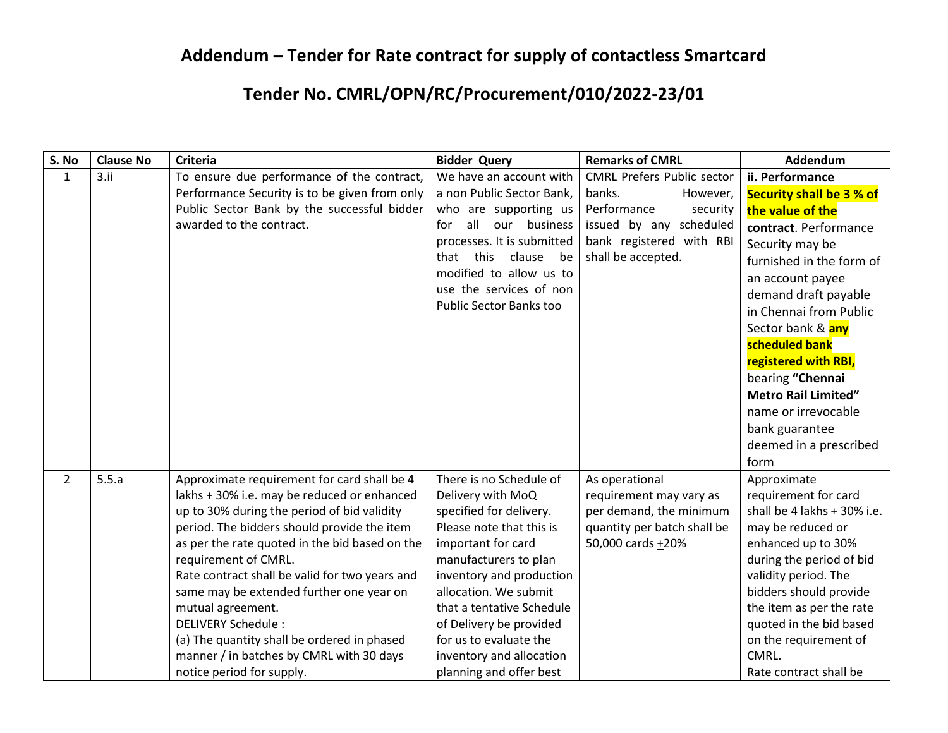## **Addendum – Tender for Rate contract for supply of contactless Smartcard**

## **Tender No. CMRL/OPN/RC/Procurement/010/2022-23/01**

| S. No          | <b>Clause No</b> | <b>Criteria</b>                                | <b>Bidder Query</b>            | <b>Remarks of CMRL</b>            | Addendum                        |
|----------------|------------------|------------------------------------------------|--------------------------------|-----------------------------------|---------------------------------|
| $\mathbf{1}$   | 3.11             | To ensure due performance of the contract,     | We have an account with        | <b>CMRL Prefers Public sector</b> | ii. Performance                 |
|                |                  | Performance Security is to be given from only  | a non Public Sector Bank,      | banks.<br>However,                | <b>Security shall be 3 % of</b> |
|                |                  | Public Sector Bank by the successful bidder    | who are supporting us          | Performance<br>security           | the value of the                |
|                |                  | awarded to the contract.                       | all<br>our business<br>for     | issued by any scheduled           | contract. Performance           |
|                |                  |                                                | processes. It is submitted     | bank registered with RBI          | Security may be                 |
|                |                  |                                                | that this<br>clause<br>be      | shall be accepted.                | furnished in the form of        |
|                |                  |                                                | modified to allow us to        |                                   | an account payee                |
|                |                  |                                                | use the services of non        |                                   | demand draft payable            |
|                |                  |                                                | <b>Public Sector Banks too</b> |                                   | in Chennai from Public          |
|                |                  |                                                |                                |                                   | Sector bank & any               |
|                |                  |                                                |                                |                                   | scheduled bank                  |
|                |                  |                                                |                                |                                   | registered with RBI,            |
|                |                  |                                                |                                |                                   | bearing "Chennai                |
|                |                  |                                                |                                |                                   | <b>Metro Rail Limited"</b>      |
|                |                  |                                                |                                |                                   | name or irrevocable             |
|                |                  |                                                |                                |                                   | bank guarantee                  |
|                |                  |                                                |                                |                                   | deemed in a prescribed          |
|                |                  |                                                |                                |                                   | form                            |
| $\overline{2}$ | 5.5.a            | Approximate requirement for card shall be 4    | There is no Schedule of        | As operational                    | Approximate                     |
|                |                  | lakhs + 30% i.e. may be reduced or enhanced    | Delivery with MoQ              | requirement may vary as           | requirement for card            |
|                |                  | up to 30% during the period of bid validity    | specified for delivery.        | per demand, the minimum           | shall be 4 lakhs + 30% i.e.     |
|                |                  | period. The bidders should provide the item    | Please note that this is       | quantity per batch shall be       | may be reduced or               |
|                |                  | as per the rate quoted in the bid based on the | important for card             | 50,000 cards +20%                 | enhanced up to 30%              |
|                |                  | requirement of CMRL.                           | manufacturers to plan          |                                   | during the period of bid        |
|                |                  | Rate contract shall be valid for two years and | inventory and production       |                                   | validity period. The            |
|                |                  | same may be extended further one year on       | allocation. We submit          |                                   | bidders should provide          |
|                |                  | mutual agreement.                              | that a tentative Schedule      |                                   | the item as per the rate        |
|                |                  | <b>DELIVERY Schedule:</b>                      | of Delivery be provided        |                                   | quoted in the bid based         |
|                |                  | (a) The quantity shall be ordered in phased    | for us to evaluate the         |                                   | on the requirement of           |
|                |                  | manner / in batches by CMRL with 30 days       | inventory and allocation       |                                   | CMRL.                           |
|                |                  | notice period for supply.                      | planning and offer best        |                                   | Rate contract shall be          |